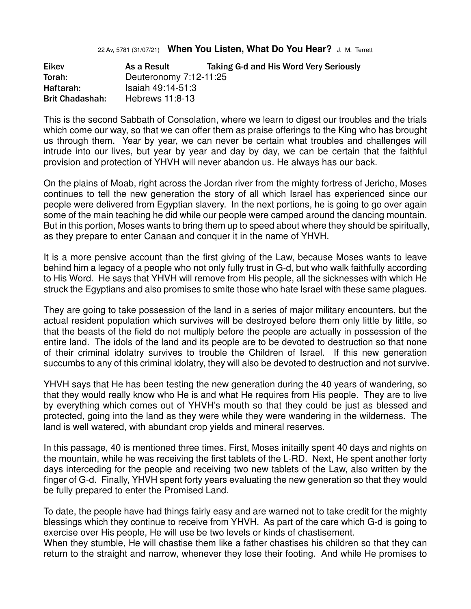## 22 Av, 5781 (31/07/21) **When You Listen, What Do You Hear?** J. M. Terrett

| <b>Eikev</b>           | As a Result            | Taking G-d and His Word Very Seriously |
|------------------------|------------------------|----------------------------------------|
| Torah:                 | Deuteronomy 7:12-11:25 |                                        |
| Haftarah:              | Isaiah 49:14-51:3      |                                        |
| <b>Brit Chadashah:</b> | Hebrews 11:8-13        |                                        |

This is the second Sabbath of Consolation, where we learn to digest our troubles and the trials which come our way, so that we can offer them as praise offerings to the King who has brought us through them. Year by year, we can never be certain what troubles and challenges will intrude into our lives, but year by year and day by day, we can be certain that the faithful provision and protection of YHVH will never abandon us. He always has our back.

On the plains of Moab, right across the Jordan river from the mighty fortress of Jericho, Moses continues to tell the new generation the story of all which Israel has experienced since our people were delivered from Egyptian slavery. In the next portions, he is going to go over again some of the main teaching he did while our people were camped around the dancing mountain. But in this portion, Moses wants to bring them up to speed about where they should be spiritually, as they prepare to enter Canaan and conquer it in the name of YHVH.

It is a more pensive account than the first giving of the Law, because Moses wants to leave behind him a legacy of a people who not only fully trust in G-d, but who walk faithfully according to His Word. He says that YHVH will remove from His people, all the sicknesses with which He struck the Egyptians and also promises to smite those who hate Israel with these same plagues.

They are going to take possession of the land in a series of major military encounters, but the actual resident population which survives will be destroyed before them only little by little, so that the beasts of the field do not multiply before the people are actually in possession of the entire land. The idols of the land and its people are to be devoted to destruction so that none of their criminal idolatry survives to trouble the Children of Israel. If this new generation succumbs to any of this criminal idolatry, they will also be devoted to destruction and not survive.

YHVH says that He has been testing the new generation during the 40 years of wandering, so that they would really know who He is and what He requires from His people. They are to live by everything which comes out of YHVH's mouth so that they could be just as blessed and protected, going into the land as they were while they were wandering in the wilderness. The land is well watered, with abundant crop yields and mineral reserves.

In this passage, 40 is mentioned three times. First, Moses initailly spent 40 days and nights on the mountain, while he was receiving the first tablets of the L-RD. Next, He spent another forty days interceding for the people and receiving two new tablets of the Law, also written by the finger of G-d. Finally, YHVH spent forty years evaluating the new generation so that they would be fully prepared to enter the Promised Land.

To date, the people have had things fairly easy and are warned not to take credit for the mighty blessings which they continue to receive from YHVH. As part of the care which G-d is going to exercise over His people, He will use be two levels or kinds of chastisement.

When they stumble, He will chastise them like a father chastises his children so that they can return to the straight and narrow, whenever they lose their footing. And while He promises to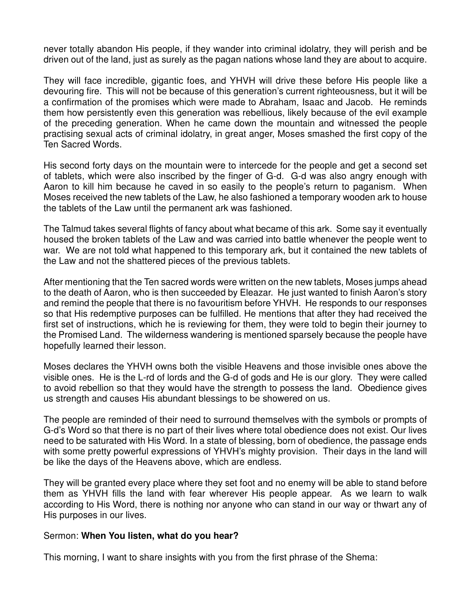never totally abandon His people, if they wander into criminal idolatry, they will perish and be driven out of the land, just as surely as the pagan nations whose land they are about to acquire.

They will face incredible, gigantic foes, and YHVH will drive these before His people like a devouring fire. This will not be because of this generation's current righteousness, but it will be a confirmation of the promises which were made to Abraham, Isaac and Jacob. He reminds them how persistently even this generation was rebellious, likely because of the evil example of the preceding generation. When he came down the mountain and witnessed the people practising sexual acts of criminal idolatry, in great anger, Moses smashed the first copy of the Ten Sacred Words.

His second forty days on the mountain were to intercede for the people and get a second set of tablets, which were also inscribed by the finger of G-d. G-d was also angry enough with Aaron to kill him because he caved in so easily to the people's return to paganism. When Moses received the new tablets of the Law, he also fashioned a temporary wooden ark to house the tablets of the Law until the permanent ark was fashioned.

The Talmud takes several flights of fancy about what became of this ark. Some say it eventually housed the broken tablets of the Law and was carried into battle whenever the people went to war. We are not told what happened to this temporary ark, but it contained the new tablets of the Law and not the shattered pieces of the previous tablets.

After mentioning that the Ten sacred words were written on the new tablets, Moses jumps ahead to the death of Aaron, who is then succeeded by Eleazar. He just wanted to finish Aaron's story and remind the people that there is no favouritism before YHVH. He responds to our responses so that His redemptive purposes can be fulfilled. He mentions that after they had received the first set of instructions, which he is reviewing for them, they were told to begin their journey to the Promised Land. The wilderness wandering is mentioned sparsely because the people have hopefully learned their lesson.

Moses declares the YHVH owns both the visible Heavens and those invisible ones above the visible ones. He is the L-rd of lords and the G-d of gods and He is our glory. They were called to avoid rebellion so that they would have the strength to possess the land. Obedience gives us strength and causes His abundant blessings to be showered on us.

The people are reminded of their need to surround themselves with the symbols or prompts of G-d's Word so that there is no part of their lives where total obedience does not exist. Our lives need to be saturated with His Word. In a state of blessing, born of obedience, the passage ends with some pretty powerful expressions of YHVH's mighty provision. Their days in the land will be like the days of the Heavens above, which are endless.

They will be granted every place where they set foot and no enemy will be able to stand before them as YHVH fills the land with fear wherever His people appear. As we learn to walk according to His Word, there is nothing nor anyone who can stand in our way or thwart any of His purposes in our lives.

## Sermon: **When You listen, what do you hear?**

This morning, I want to share insights with you from the first phrase of the Shema: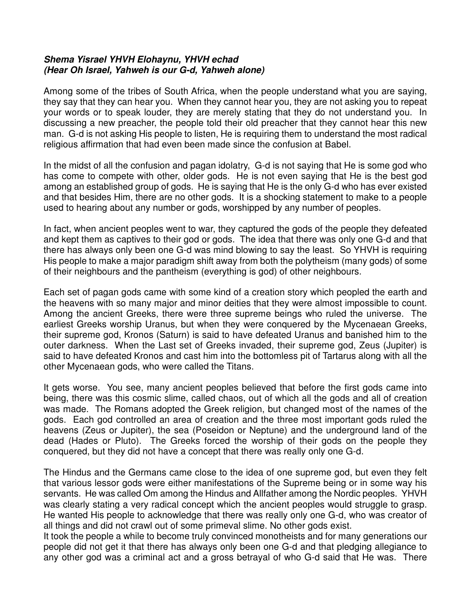## **Shema Yisrael YHVH Elohaynu, YHVH echad** **(Hear Oh Israel, Yahweh is our G-d, Yahweh alone)**

Among some of the tribes of South Africa, when the people understand what you are saying, they say that they can hear you. When they cannot hear you, they are not asking you to repeat your words or to speak louder, they are merely stating that they do not understand you. In discussing a new preacher, the people told their old preacher that they cannot hear this new man. G-d is not asking His people to listen, He is requiring them to understand the most radical religious affirmation that had even been made since the confusion at Babel.

In the midst of all the confusion and pagan idolatry, G-d is not saying that He is some god who has come to compete with other, older gods. He is not even saying that He is the best god among an established group of gods. He is saying that He is the only G-d who has ever existed and that besides Him, there are no other gods. It is a shocking statement to make to a people used to hearing about any number or gods, worshipped by any number of peoples.

In fact, when ancient peoples went to war, they captured the gods of the people they defeated and kept them as captives to their god or gods. The idea that there was only one G-d and that there has always only been one G-d was mind blowing to say the least. So YHVH is requiring His people to make a major paradigm shift away from both the polytheism (many gods) of some of their neighbours and the pantheism (everything is god) of other neighbours.

Each set of pagan gods came with some kind of a creation story which peopled the earth and the heavens with so many major and minor deities that they were almost impossible to count. Among the ancient Greeks, there were three supreme beings who ruled the universe. The earliest Greeks worship Uranus, but when they were conquered by the Mycenaean Greeks, their supreme god, Kronos (Saturn) is said to have defeated Uranus and banished him to the outer darkness. When the Last set of Greeks invaded, their supreme god, Zeus (Jupiter) is said to have defeated Kronos and cast him into the bottomless pit of Tartarus along with all the other Mycenaean gods, who were called the Titans.

It gets worse. You see, many ancient peoples believed that before the first gods came into being, there was this cosmic slime, called chaos, out of which all the gods and all of creation was made. The Romans adopted the Greek religion, but changed most of the names of the gods. Each god controlled an area of creation and the three most important gods ruled the heavens (Zeus or Jupiter), the sea (Poseidon or Neptune) and the underground land of the dead (Hades or Pluto). The Greeks forced the worship of their gods on the people they conquered, but they did not have a concept that there was really only one G-d.

The Hindus and the Germans came close to the idea of one supreme god, but even they felt that various lessor gods were either manifestations of the Supreme being or in some way his servants. He was called Om among the Hindus and Allfather among the Nordic peoples. YHVH was clearly stating a very radical concept which the ancient peoples would struggle to grasp. He wanted His people to acknowledge that there was really only one G-d, who was creator of all things and did not crawl out of some primeval slime. No other gods exist.

It took the people a while to become truly convinced monotheists and for many generations our people did not get it that there has always only been one G-d and that pledging allegiance to any other god was a criminal act and a gross betrayal of who G-d said that He was. There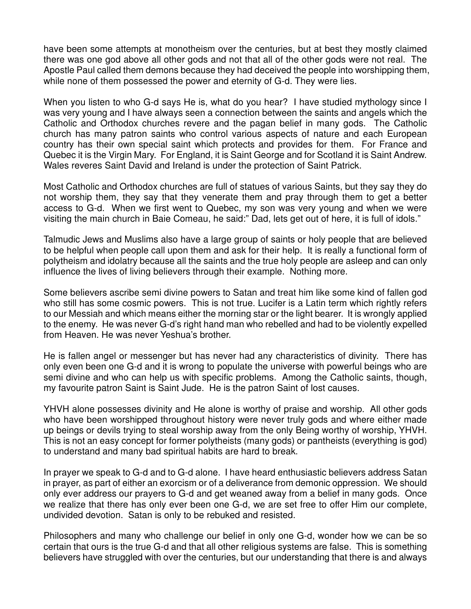have been some attempts at monotheism over the centuries, but at best they mostly claimed there was one god above all other gods and not that all of the other gods were not real. The Apostle Paul called them demons because they had deceived the people into worshipping them, while none of them possessed the power and eternity of G-d. They were lies.

When you listen to who G-d says He is, what do you hear? I have studied mythology since I was very young and I have always seen a connection between the saints and angels which the Catholic and Orthodox churches revere and the pagan belief in many gods. The Catholic church has many patron saints who control various aspects of nature and each European country has their own special saint which protects and provides for them. For France and Quebec it is the Virgin Mary. For England, it is Saint George and for Scotland it is Saint Andrew. Wales reveres Saint David and Ireland is under the protection of Saint Patrick.

Most Catholic and Orthodox churches are full of statues of various Saints, but they say they do not worship them, they say that they venerate them and pray through them to get a better access to G-d. When we first went to Quebec, my son was very young and when we were visiting the main church in Baie Comeau, he said:" Dad, lets get out of here, it is full of idols."

Talmudic Jews and Muslims also have a large group of saints or holy people that are believed to be helpful when people call upon them and ask for their help. It is really a functional form of polytheism and idolatry because all the saints and the true holy people are asleep and can only influence the lives of living believers through their example. Nothing more.

Some believers ascribe semi divine powers to Satan and treat him like some kind of fallen god who still has some cosmic powers. This is not true. Lucifer is a Latin term which rightly refers to our Messiah and which means either the morning star or the light bearer. It is wrongly applied to the enemy. He was never G-d's right hand man who rebelled and had to be violently expelled from Heaven. He was never Yeshua's brother.

He is fallen angel or messenger but has never had any characteristics of divinity. There has only even been one G-d and it is wrong to populate the universe with powerful beings who are semi divine and who can help us with specific problems. Among the Catholic saints, though, my favourite patron Saint is Saint Jude. He is the patron Saint of lost causes.

YHVH alone possesses divinity and He alone is worthy of praise and worship. All other gods who have been worshipped throughout history were never truly gods and where either made up beings or devils trying to steal worship away from the only Being worthy of worship, YHVH. This is not an easy concept for former polytheists (many gods) or pantheists (everything is god) to understand and many bad spiritual habits are hard to break.

In prayer we speak to G-d and to G-d alone. I have heard enthusiastic believers address Satan in prayer, as part of either an exorcism or of a deliverance from demonic oppression. We should only ever address our prayers to G-d and get weaned away from a belief in many gods. Once we realize that there has only ever been one G-d, we are set free to offer Him our complete, undivided devotion. Satan is only to be rebuked and resisted.

Philosophers and many who challenge our belief in only one G-d, wonder how we can be so certain that ours is the true G-d and that all other religious systems are false. This is something believers have struggled with over the centuries, but our understanding that there is and always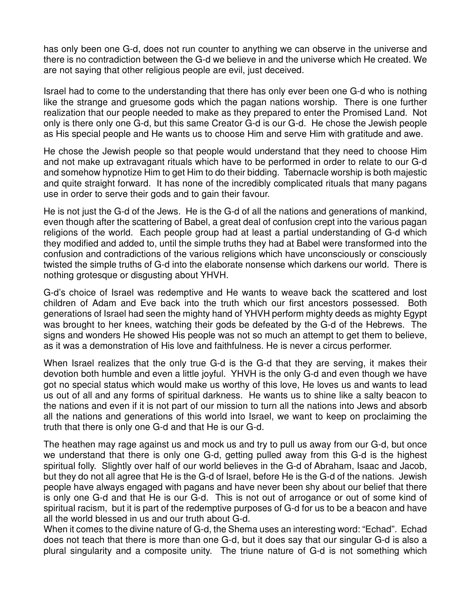has only been one G-d, does not run counter to anything we can observe in the universe and there is no contradiction between the G-d we believe in and the universe which He created. We are not saying that other religious people are evil, just deceived.

Israel had to come to the understanding that there has only ever been one G-d who is nothing like the strange and gruesome gods which the pagan nations worship. There is one further realization that our people needed to make as they prepared to enter the Promised Land. Not only is there only one G-d, but this same Creator G-d is our G-d. He chose the Jewish people as His special people and He wants us to choose Him and serve Him with gratitude and awe.

He chose the Jewish people so that people would understand that they need to choose Him and not make up extravagant rituals which have to be performed in order to relate to our G-d and somehow hypnotize Him to get Him to do their bidding. Tabernacle worship is both majestic and quite straight forward. It has none of the incredibly complicated rituals that many pagans use in order to serve their gods and to gain their favour.

He is not just the G-d of the Jews. He is the G-d of all the nations and generations of mankind, even though after the scattering of Babel, a great deal of confusion crept into the various pagan religions of the world. Each people group had at least a partial understanding of G-d which they modified and added to, until the simple truths they had at Babel were transformed into the confusion and contradictions of the various religions which have unconsciously or consciously twisted the simple truths of G-d into the elaborate nonsense which darkens our world. There is nothing grotesque or disgusting about YHVH.

G-d's choice of Israel was redemptive and He wants to weave back the scattered and lost children of Adam and Eve back into the truth which our first ancestors possessed. Both generations of Israel had seen the mighty hand of YHVH perform mighty deeds as mighty Egypt was brought to her knees, watching their gods be defeated by the G-d of the Hebrews. The signs and wonders He showed His people was not so much an attempt to get them to believe, as it was a demonstration of His love and faithfulness. He is never a circus performer.

When Israel realizes that the only true G-d is the G-d that they are serving, it makes their devotion both humble and even a little joyful. YHVH is the only G-d and even though we have got no special status which would make us worthy of this love, He loves us and wants to lead us out of all and any forms of spiritual darkness. He wants us to shine like a salty beacon to the nations and even if it is not part of our mission to turn all the nations into Jews and absorb all the nations and generations of this world into Israel, we want to keep on proclaiming the truth that there is only one G-d and that He is our G-d.

The heathen may rage against us and mock us and try to pull us away from our G-d, but once we understand that there is only one G-d, getting pulled away from this G-d is the highest spiritual folly. Slightly over half of our world believes in the G-d of Abraham, Isaac and Jacob, but they do not all agree that He is the G-d of Israel, before He is the G-d of the nations. Jewish people have always engaged with pagans and have never been shy about our belief that there is only one G-d and that He is our G-d. This is not out of arrogance or out of some kind of spiritual racism, but it is part of the redemptive purposes of G-d for us to be a beacon and have all the world blessed in us and our truth about G-d.

When it comes to the divine nature of G-d, the Shema uses an interesting word: "Echad". Echad does not teach that there is more than one G-d, but it does say that our singular G-d is also a plural singularity and a composite unity. The triune nature of G-d is not something which